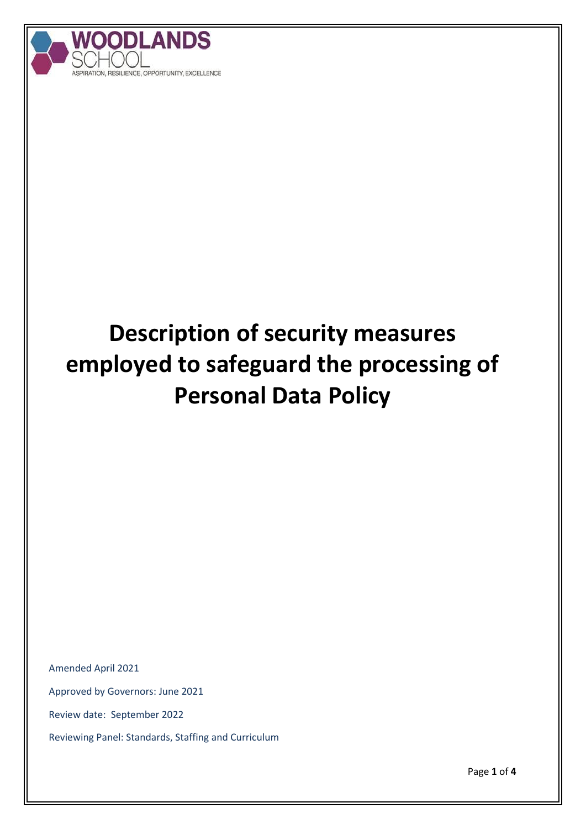

# **Description of security measures employed to safeguard the processing of Personal Data Policy**

Amended April 2021

Approved by Governors: June 2021

Review date: September 2022

Reviewing Panel: Standards, Staffing and Curriculum

Page **1** of **4**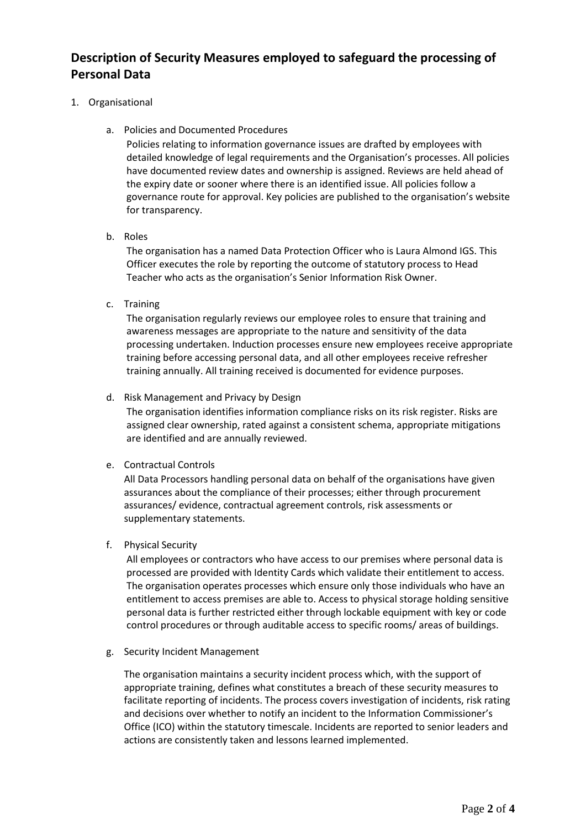## **Description of Security Measures employed to safeguard the processing of Personal Data**

#### 1. Organisational

a. Policies and Documented Procedures

Policies relating to information governance issues are drafted by employees with detailed knowledge of legal requirements and the Organisation's processes. All policies have documented review dates and ownership is assigned. Reviews are held ahead of the expiry date or sooner where there is an identified issue. All policies follow a governance route for approval. Key policies are published to the organisation's website for transparency.

b. Roles

The organisation has a named Data Protection Officer who is Laura Almond IGS. This Officer executes the role by reporting the outcome of statutory process to Head Teacher who acts as the organisation's Senior Information Risk Owner.

c. Training

The organisation regularly reviews our employee roles to ensure that training and awareness messages are appropriate to the nature and sensitivity of the data processing undertaken. Induction processes ensure new employees receive appropriate training before accessing personal data, and all other employees receive refresher training annually. All training received is documented for evidence purposes.

d. Risk Management and Privacy by Design

The organisation identifies information compliance risks on its risk register. Risks are assigned clear ownership, rated against a consistent schema, appropriate mitigations are identified and are annually reviewed.

### e. Contractual Controls

All Data Processors handling personal data on behalf of the organisations have given assurances about the compliance of their processes; either through procurement assurances/ evidence, contractual agreement controls, risk assessments or supplementary statements.

### f. Physical Security

All employees or contractors who have access to our premises where personal data is processed are provided with Identity Cards which validate their entitlement to access. The organisation operates processes which ensure only those individuals who have an entitlement to access premises are able to. Access to physical storage holding sensitive personal data is further restricted either through lockable equipment with key or code control procedures or through auditable access to specific rooms/ areas of buildings.

g. Security Incident Management

The organisation maintains a security incident process which, with the support of appropriate training, defines what constitutes a breach of these security measures to facilitate reporting of incidents. The process covers investigation of incidents, risk rating and decisions over whether to notify an incident to the Information Commissioner's Office (ICO) within the statutory timescale. Incidents are reported to senior leaders and actions are consistently taken and lessons learned implemented.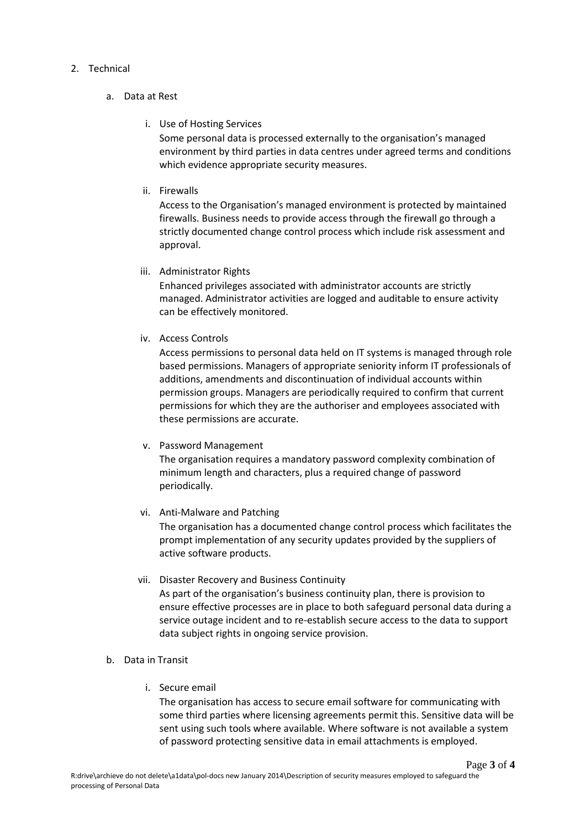#### 2. Technical

- a. Data at Rest
	- i. Use of Hosting Services

Some personal data is processed externally to the organisation's managed environment by third parties in data centres under agreed terms and conditions which evidence appropriate security measures.

ii. Firewalls

Access to the Organisation's managed environment is protected by maintained firewalls. Business needs to provide access through the firewall go through a strictly documented change control process which include risk assessment and approval.

iii. Administrator Rights

Enhanced privileges associated with administrator accounts are strictly managed. Administrator activities are logged and auditable to ensure activity can be effectively monitored.

iv. Access Controls

Access permissions to personal data held on IT systems is managed through role based permissions. Managers of appropriate seniority inform IT professionals of additions, amendments and discontinuation of individual accounts within permission groups. Managers are periodically required to confirm that current permissions for which they are the authoriser and employees associated with these permissions are accurate.

v. Password Management

The organisation requires a mandatory password complexity combination of minimum length and characters, plus a required change of password periodically.

vi. Anti-Malware and Patching

The organisation has a documented change control process which facilitates the prompt implementation of any security updates provided by the suppliers of active software products.

- vii. Disaster Recovery and Business Continuity As part of the organisation's business continuity plan, there is provision to ensure effective processes are in place to both safeguard personal data during a service outage incident and to re-establish secure access to the data to support data subject rights in ongoing service provision.
- b. Data in Transit
	- i. Secure email

The organisation has access to secure email software for communicating with some third parties where licensing agreements permit this. Sensitive data will be sent using such tools where available. Where software is not available a system of password protecting sensitive data in email attachments is employed.

Page **3** of **4**